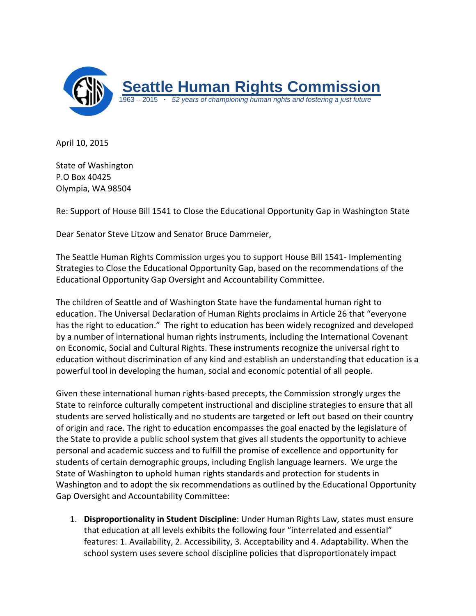

April 10, 2015

State of Washington P.O Box 40425 Olympia, WA 98504

Re: Support of House Bill 1541 to Close the Educational Opportunity Gap in Washington State

Dear Senator Steve Litzow and Senator Bruce Dammeier,

The Seattle Human Rights Commission urges you to support House Bill 1541- Implementing Strategies to Close the Educational Opportunity Gap, based on the recommendations of the Educational Opportunity Gap Oversight and Accountability Committee.

The children of Seattle and of Washington State have the fundamental human right to education. The Universal Declaration of Human Rights proclaims in Article 26 that "everyone has the right to education." The right to education has been widely recognized and developed by a number of international human rights instruments, including the International Covenant on Economic, Social and Cultural Rights. These instruments recognize the universal right to education without discrimination of any kind and establish an understanding that education is a powerful tool in developing the human, social and economic potential of all people.

Given these international human rights-based precepts, the Commission strongly urges the State to reinforce culturally competent instructional and discipline strategies to ensure that all students are served holistically and no students are targeted or left out based on their country of origin and race. The right to education encompasses the goal enacted by the legislature of the State to provide a public school system that gives all students the opportunity to achieve personal and academic success and to fulfill the promise of excellence and opportunity for students of certain demographic groups, including English language learners. We urge the State of Washington to uphold human rights standards and protection for students in Washington and to adopt the six recommendations as outlined by the Educational Opportunity Gap Oversight and Accountability Committee:

1. **Disproportionality in Student Discipline**: Under Human Rights Law, states must ensure that education at all levels exhibits the following four "interrelated and essential" features: 1. Availability, 2. Accessibility, 3. Acceptability and 4. Adaptability. When the school system uses severe school discipline policies that disproportionately impact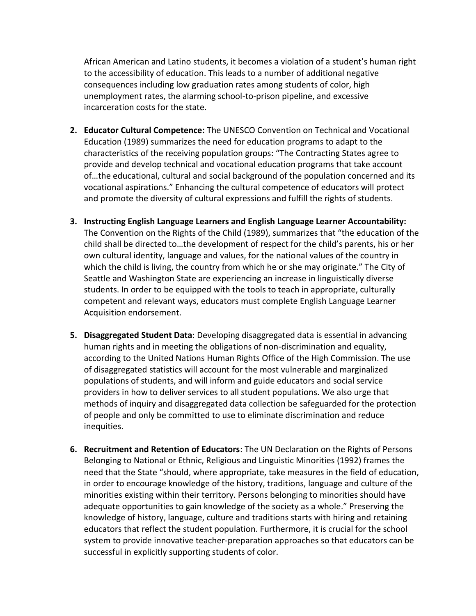African American and Latino students, it becomes a violation of a student's human right to the accessibility of education. This leads to a number of additional negative consequences including low graduation rates among students of color, high unemployment rates, the alarming school-to-prison pipeline, and excessive incarceration costs for the state.

- **2. Educator Cultural Competence:** The UNESCO Convention on Technical and Vocational Education (1989) summarizes the need for education programs to adapt to the characteristics of the receiving population groups: "The Contracting States agree to provide and develop technical and vocational education programs that take account of…the educational, cultural and social background of the population concerned and its vocational aspirations." Enhancing the cultural competence of educators will protect and promote the diversity of cultural expressions and fulfill the rights of students.
- **3. Instructing English Language Learners and English Language Learner Accountability:**  The Convention on the Rights of the Child (1989), summarizes that "the education of the child shall be directed to…the development of respect for the child's parents, his or her own cultural identity, language and values, for the national values of the country in which the child is living, the country from which he or she may originate." The City of Seattle and Washington State are experiencing an increase in linguistically diverse students. In order to be equipped with the tools to teach in appropriate, culturally competent and relevant ways, educators must complete English Language Learner Acquisition endorsement.
- **5. Disaggregated Student Data**: Developing disaggregated data is essential in advancing human rights and in meeting the obligations of non-discrimination and equality, according to the United Nations Human Rights Office of the High Commission. The use of disaggregated statistics will account for the most vulnerable and marginalized populations of students, and will inform and guide educators and social service providers in how to deliver services to all student populations. We also urge that methods of inquiry and disaggregated data collection be safeguarded for the protection of people and only be committed to use to eliminate discrimination and reduce inequities.
- **6. Recruitment and Retention of Educators**: The UN Declaration on the Rights of Persons Belonging to National or Ethnic, Religious and Linguistic Minorities (1992) frames the need that the State "should, where appropriate, take measures in the field of education, in order to encourage knowledge of the history, traditions, language and culture of the minorities existing within their territory. Persons belonging to minorities should have adequate opportunities to gain knowledge of the society as a whole." Preserving the knowledge of history, language, culture and traditions starts with hiring and retaining educators that reflect the student population. Furthermore, it is crucial for the school system to provide innovative teacher-preparation approaches so that educators can be successful in explicitly supporting students of color.